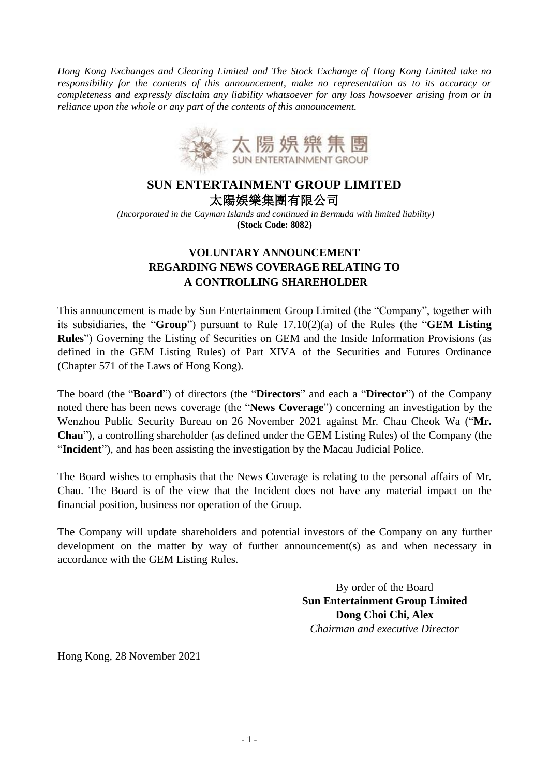*Hong Kong Exchanges and Clearing Limited and The Stock Exchange of Hong Kong Limited take no responsibility for the contents of this announcement, make no representation as to its accuracy or completeness and expressly disclaim any liability whatsoever for any loss howsoever arising from or in reliance upon the whole or any part of the contents of this announcement.* 



## **SUN ENTERTAINMENT GROUP LIMITED**  太陽娛樂集團有限公司

*(Incorporated in the Cayman Islands and continued in Bermuda with limited liability)* **(Stock Code: 8082)**

## **VOLUNTARY ANNOUNCEMENT REGARDING NEWS COVERAGE RELATING TO A CONTROLLING SHAREHOLDER**

This announcement is made by Sun Entertainment Group Limited (the "Company", together with its subsidiaries, the "**Group**") pursuant to Rule 17.10(2)(a) of the Rules (the "**GEM Listing Rules**") Governing the Listing of Securities on GEM and the Inside Information Provisions (as defined in the GEM Listing Rules) of Part XIVA of the Securities and Futures Ordinance (Chapter 571 of the Laws of Hong Kong).

The board (the "**Board**") of directors (the "**Directors**" and each a "**Director**") of the Company noted there has been news coverage (the "**News Coverage**") concerning an investigation by the Wenzhou Public Security Bureau on 26 November 2021 against Mr. Chau Cheok Wa ("**Mr. Chau**"), a controlling shareholder (as defined under the GEM Listing Rules) of the Company (the "**Incident**"), and has been assisting the investigation by the Macau Judicial Police.

The Board wishes to emphasis that the News Coverage is relating to the personal affairs of Mr. Chau. The Board is of the view that the Incident does not have any material impact on the financial position, business nor operation of the Group.

The Company will update shareholders and potential investors of the Company on any further development on the matter by way of further announcement(s) as and when necessary in accordance with the GEM Listing Rules.

> By order of the Board **Sun Entertainment Group Limited Dong Choi Chi, Alex** *Chairman and executive Director*

Hong Kong, 28 November 2021